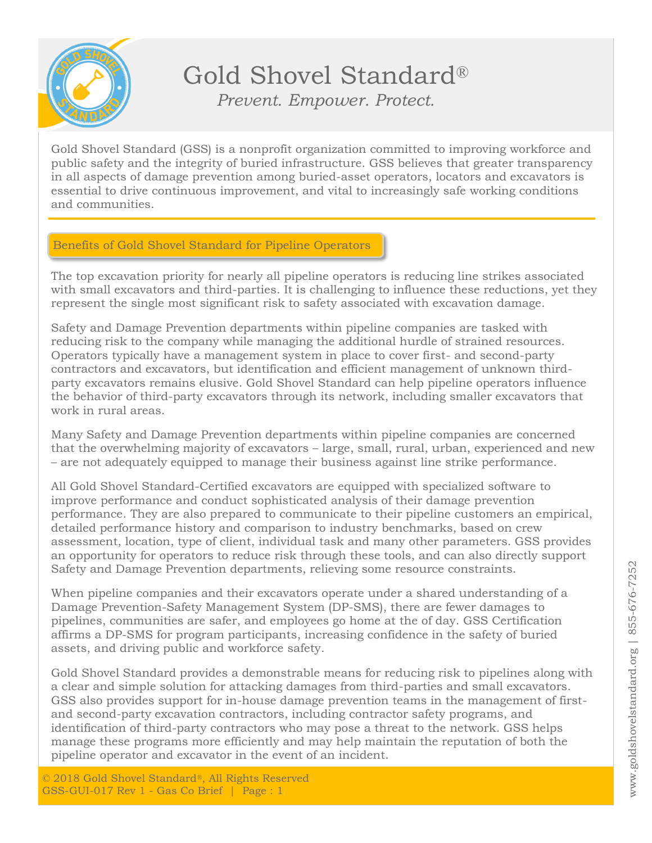

Gold Shovel Standard® *Prevent. Empower. Protect.*

Gold Shovel Standard (GSS) is a nonprofit organization committed to improving workforce and public safety and the integrity of buried infrastructure. GSS believes that greater transparency in all aspects of damage prevention among buried-asset operators, locators and excavators is essential to drive continuous improvement, and vital to increasingly safe working conditions and communities.

## Benefits of Gold Shovel Standard for Pipeline Operators

The top excavation priority for nearly all pipeline operators is reducing line strikes associated with small excavators and third-parties. It is challenging to influence these reductions, yet they represent the single most significant risk to safety associated with excavation damage.

Safety and Damage Prevention departments within pipeline companies are tasked with reducing risk to the company while managing the additional hurdle of strained resources. Operators typically have a management system in place to cover first- and second-party contractors and excavators, but identification and efficient management of unknown thirdparty excavators remains elusive. Gold Shovel Standard can help pipeline operators influence the behavior of third-party excavators through its network, including smaller excavators that work in rural areas.

Many Safety and Damage Prevention departments within pipeline companies are concerned that the overwhelming majority of excavators – large, small, rural, urban, experienced and new – are not adequately equipped to manage their business against line strike performance.

All Gold Shovel Standard-Certified excavators are equipped with specialized software to improve performance and conduct sophisticated analysis of their damage prevention performance. They are also prepared to communicate to their pipeline customers an empirical, detailed performance history and comparison to industry benchmarks, based on crew assessment, location, type of client, individual task and many other parameters. GSS provides an opportunity for operators to reduce risk through these tools, and can also directly support Safety and Damage Prevention departments, relieving some resource constraints.

When pipeline companies and their excavators operate under a shared understanding of a Damage Prevention-Safety Management System (DP-SMS), there are fewer damages to pipelines, communities are safer, and employees go home at the of day. GSS Certification affirms a DP-SMS for program participants, increasing confidence in the safety of buried assets, and driving public and workforce safety.

Gold Shovel Standard provides a demonstrable means for reducing risk to pipelines along with a clear and simple solution for attacking damages from third-parties and small excavators. GSS also provides support for in-house damage prevention teams in the management of firstand second-party excavation contractors, including contractor safety programs, and identification of third-party contractors who may pose a threat to the network. GSS helps manage these programs more efficiently and may help maintain the reputation of both the pipeline operator and excavator in the event of an incident.

© 2018 Gold Shovel Standard®, All Rights Reserved GSS-GUI-017 Rev 1 - Gas Co Brief | Page : 1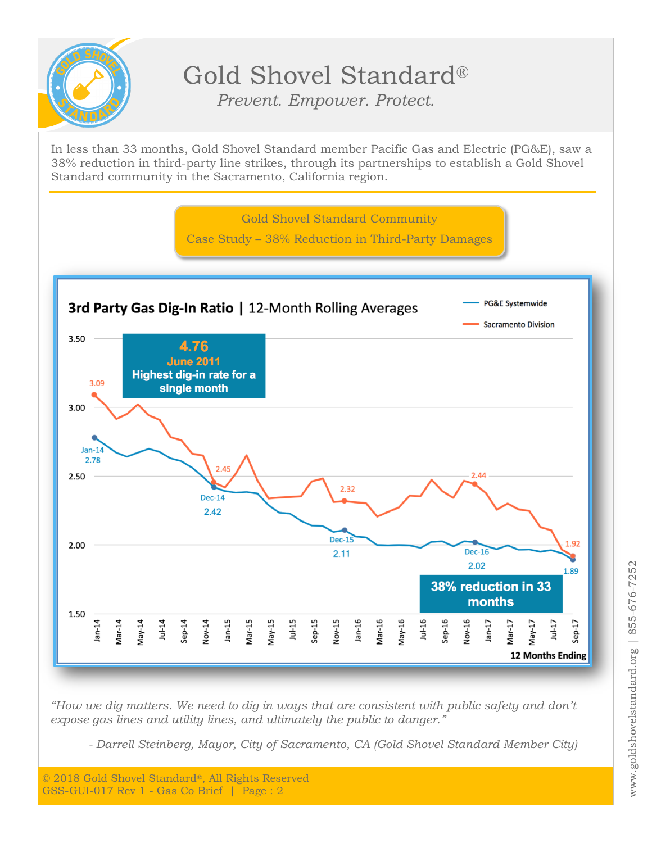

## Gold Shovel Standard® *Prevent. Empower. Protect.*

In less than 33 months, Gold Shovel Standard member Pacific Gas and Electric (PG&E), saw a 38% reduction in third-party line strikes, through its partnerships to establish a Gold Shovel Standard community in the Sacramento, California region.



*"How we dig matters. We need to dig in ways that are consistent with public safety and don't expose gas lines and utility lines, and ultimately the public to danger."*

*- Darrell Steinberg, Mayor, City of Sacramento, CA (Gold Shovel Standard Member City)*